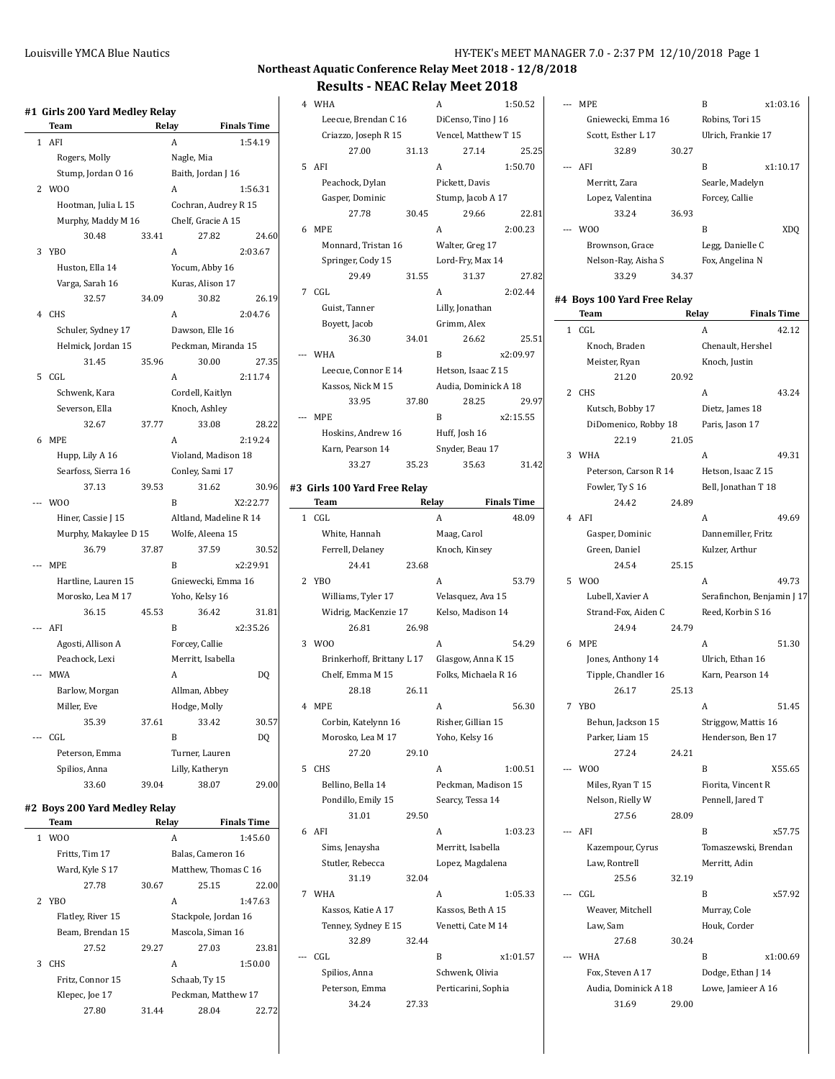# **Northeast Aquatic Conference Relay Meet 2018 - 12/8/2018**

|                          | Team                          | Relay |                        | <b>Finals Time</b>   |
|--------------------------|-------------------------------|-------|------------------------|----------------------|
| 1                        | AFI                           |       | A                      | 1:54.19              |
|                          | Rogers, Molly                 |       | Nagle, Mia             |                      |
|                          | Stump, Jordan 0 16            |       | Baith, Jordan J 16     |                      |
| 2                        | W <sub>0</sub>                |       | А                      | 1:56.31              |
|                          | Hootman, Julia L 15           |       | Cochran, Audrey R 15   |                      |
|                          | Murphy, Maddy M 16            |       | Chelf, Gracie A 15     |                      |
|                          | 30.48                         | 33.41 | 27.82                  | 24.60                |
| 3                        | YB <sub>0</sub>               |       | A                      | 2:03.67              |
|                          | Huston, Ella 14               |       | Yocum, Abby 16         |                      |
|                          | Varga, Sarah 16               |       | Kuras, Alison 17       |                      |
|                          | 32.57                         | 34.09 | 30.82                  | 26.19                |
| 4                        | <b>CHS</b>                    |       | A                      | 2:04.76              |
|                          | Schuler, Sydney 17            |       | Dawson, Elle 16        |                      |
|                          | Helmick, Jordan 15            |       | Peckman, Miranda 15    |                      |
|                          | 31.45                         | 35.96 | 30.00                  | 27.35                |
| 5                        | CGL                           |       | A                      | 2:11.74              |
|                          | Schwenk, Kara                 |       | Cordell, Kaitlyn       |                      |
|                          | Severson, Ella                |       | Knoch, Ashley          |                      |
|                          | 32.67                         | 37.77 | 33.08                  | 28.22                |
| 6                        | <b>MPE</b>                    |       | A                      | 2:19.24              |
|                          | Hupp, Lily A 16               |       | Violand, Madison 18    |                      |
|                          | Searfoss, Sierra 16           |       | Conley, Sami 17        |                      |
|                          | 37.13                         | 39.53 | 31.62                  | 30.96                |
|                          | W <sub>0</sub>                |       | B                      | X2:22.77             |
|                          | Hiner, Cassie J 15            |       | Altland, Madeline R 14 |                      |
|                          | Murphy, Makaylee D 15         |       | Wolfe, Aleena 15       |                      |
|                          | 36.79                         | 37.87 | 37.59                  | 30.52                |
| $---$                    | <b>MPE</b>                    |       | B                      | x2:29.91             |
|                          |                               |       |                        |                      |
|                          | Hartline, Lauren 15           |       | Gniewecki, Emma 16     |                      |
|                          | Morosko, Lea M 17             |       | Yoho, Kelsy 16         |                      |
|                          | 36.15<br>--- AFI              | 45.53 | 36.42<br>B             | 31.81                |
|                          |                               |       |                        | x2:35.26             |
|                          | Agosti, Allison A             |       | Forcey, Callie         |                      |
|                          | Peachock, Lexi                |       | Merritt, Isabella      |                      |
| $\overline{\phantom{a}}$ | <b>MWA</b>                    |       | A                      | DQ                   |
|                          | Barlow, Morgan                |       | Allman, Abbey          |                      |
|                          | Miller, Eve                   |       | Hodge, Molly           |                      |
|                          | 35.39                         | 37.61 | 33.42                  | 30.57                |
| $---$                    | CGL                           |       | B                      | D <sub>O</sub>       |
|                          | Peterson, Emma                |       | Turner, Lauren         |                      |
|                          | Spilios, Anna                 |       | Lilly, Katheryn        |                      |
|                          | 33.60                         | 39.04 | 38.07                  | 29.00                |
|                          | #2 Boys 200 Yard Medley Relay |       |                        |                      |
|                          | Team                          |       | Relay                  | <b>Finals Time</b>   |
| 1                        | W <sub>0</sub>                |       | A                      | 1:45.60              |
|                          | Fritts, Tim 17                |       | Balas, Cameron 16      |                      |
|                          | Ward, Kyle S 17               |       |                        | Matthew, Thomas C 16 |
|                          | 27.78                         | 30.67 | 25.15                  | 22.00                |
| 2                        | YB <sub>0</sub>               |       | A                      | 1:47.63              |
|                          | Flatley, River 15             |       | Stackpole, Jordan 16   |                      |
|                          | Beam, Brendan 15              |       | Mascola, Siman 16      |                      |
|                          | 27.52                         | 29.27 | 27.03                  | 23.81                |
| 3                        | CHS                           |       | A                      | 1:50.00              |
|                          | Fritz, Connor 15              |       | Schaab, Ty 15          |                      |
|                          | Klepec, Joe 17                |       | Peckman, Matthew 17    |                      |
|                          | 27.80                         | 31.44 | 28.04                  | 22.72                |
|                          |                               |       |                        |                      |

|                | <b>Results - NEAC Relay Meet 2018</b> |       |                      |                    |
|----------------|---------------------------------------|-------|----------------------|--------------------|
| $\overline{4}$ | WHA                                   |       | A                    | 1:50.52            |
|                | Leecue, Brendan C 16                  |       | DiCenso, Tino J 16   |                    |
|                | Criazzo, Joseph R 15                  |       | Vencel, Matthew T 15 |                    |
|                | 27.00                                 | 31.13 | 27.14                | 25.25              |
| 5              | AFI                                   |       | A                    | 1:50.70            |
|                | Peachock, Dylan                       |       | Pickett, Davis       |                    |
|                |                                       |       |                      |                    |
|                | Gasper, Dominic                       |       | Stump, Jacob A 17    |                    |
| 6              | 27.78<br><b>MPE</b>                   | 30.45 | 29.66<br>A           | 22.81              |
|                |                                       |       |                      | 2:00.23            |
|                | Monnard, Tristan 16                   |       | Walter, Greg 17      |                    |
|                | Springer, Cody 15                     |       | Lord-Fry, Max 14     |                    |
|                | 29.49                                 | 31.55 | 31.37                | 27.82              |
|                | 7 CGL                                 |       | A                    | 2:02.44            |
|                | Guist, Tanner                         |       | Lilly, Jonathan      |                    |
|                | Boyett, Jacob                         |       | Grimm, Alex          |                    |
|                | 36.30                                 | 34.01 | 26.62                | 25.51              |
| $---$          | <b>WHA</b>                            |       | B                    | x2:09.97           |
|                | Leecue, Connor E 14                   |       | Hetson, Isaac Z 15   |                    |
|                | Kassos, Nick M 15                     |       | Audia, Dominick A 18 |                    |
|                | 33.95                                 | 37.80 | 28.25                | 29.97              |
|                | --- MPE                               |       | B                    | x2:15.55           |
|                | Hoskins, Andrew 16                    |       | Huff, Josh 16        |                    |
|                | Karn, Pearson 14                      |       | Snyder, Beau 17      |                    |
|                | 33.27                                 | 35.23 | 35.63                | 31.42              |
|                | #3  Girls 100 Yard Free Relay         |       |                      |                    |
|                | Team                                  | Relay |                      | <b>Finals Time</b> |
| $\mathbf{1}$   | CGL                                   |       | A                    | 48.09              |
|                | White, Hannah                         |       | Maag, Carol          |                    |
|                | Ferrell, Delaney                      |       | Knoch, Kinsey        |                    |
|                | 24.41                                 | 23.68 |                      |                    |
| 2              | YB <sub>0</sub>                       |       | A                    | 53.79              |
|                | Williams, Tyler 17                    |       | Velasquez, Ava 15    |                    |
|                | Widrig, MacKenzie 17                  |       | Kelso, Madison 14    |                    |
|                | 26.81                                 | 26.98 |                      |                    |
| 3              | W <sub>0</sub>                        |       | A                    | 54.29              |
|                | Brinkerhoff, Brittany L 17            |       | Glasgow, Anna K 15   |                    |
|                | Chelf, Emma M 15                      |       | Folks, Michaela R 16 |                    |
|                | 28.18                                 | 26.11 |                      |                    |
|                |                                       |       |                      |                    |
| 4              | <b>MPE</b>                            |       | Α                    | 56.30              |
|                | Corbin, Katelynn 16                   |       | Risher, Gillian 15   |                    |
|                | Morosko, Lea M 17                     |       | Yoho, Kelsy 16       |                    |
|                | 27.20                                 | 29.10 |                      |                    |
| 5              | <b>CHS</b>                            |       | A                    | 1:00.51            |
|                | Bellino, Bella 14                     |       | Peckman, Madison 15  |                    |
|                | Pondillo, Emily 15                    |       | Searcy, Tessa 14     |                    |
|                | 31.01                                 | 29.50 |                      |                    |
| 6              | AFI                                   |       | A                    | 1:03.23            |
|                | Sims, Jenaysha                        |       | Merritt, Isabella    |                    |
|                | Stutler, Rebecca                      |       | Lopez, Magdalena     |                    |
|                | 31.19                                 | 32.04 |                      |                    |
| 7              | WHA                                   |       | A                    | 1:05.33            |
|                | Kassos, Katie A 17                    |       | Kassos, Beth A 15    |                    |
|                | Tenney, Sydney E 15                   |       | Venetti, Cate M 14   |                    |
|                | 32.89                                 | 32.44 |                      |                    |
|                | CGL                                   |       | B                    | x1:01.57           |
|                | Spilios, Anna                         |       | Schwenk, Olivia      |                    |
|                | Peterson, Emma                        |       | Perticarini, Sophia  |                    |
|                | 34.24                                 | 27.33 |                      |                    |

 $\overline{\phantom{a}}$ 

|              | --- MPE                      |       | B                            | x1:03.16           |
|--------------|------------------------------|-------|------------------------------|--------------------|
|              | Gniewecki, Emma 16           |       | Robins, Tori 15              |                    |
|              | Scott, Esther L 17           |       | Ulrich, Frankie 17           |                    |
|              | 32.89                        | 30.27 |                              |                    |
|              | --- AFI                      |       | B                            | x1:10.17           |
|              | Merritt, Zara                |       | Searle, Madelyn              |                    |
|              | Lopez, Valentina             |       | Forcey, Callie               |                    |
|              | 33.24                        | 36.93 |                              |                    |
|              | W00                          |       | B                            | XDQ                |
|              | Brownson, Grace              |       | Legg, Danielle C             |                    |
|              | Nelson-Ray, Aisha S          |       | Fox, Angelina N              |                    |
|              | 33.29                        | 34.37 |                              |                    |
|              | #4 Boys 100 Yard Free Relay  |       |                              |                    |
|              | Team                         | Relay |                              | <b>Finals Time</b> |
| $\mathbf{1}$ | CGL                          |       | A                            | 42.12              |
|              | Knoch, Braden                |       | Chenault, Hershel            |                    |
|              | Meister, Ryan                |       | Knoch, Justin                |                    |
|              | 21.20                        | 20.92 |                              |                    |
| 2            | <b>CHS</b>                   |       | A                            | 43.24              |
|              | Kutsch, Bobby 17             |       | Dietz, James 18              |                    |
|              | DiDomenico, Robby 18         |       | Paris, Jason 17              |                    |
|              | 22.19                        | 21.05 |                              |                    |
| 3            | WHA                          |       | A                            | 49.31              |
|              | Peterson, Carson R 14        |       | Hetson, Isaac Z 15           |                    |
|              | Fowler, Ty S 16              |       | Bell, Jonathan T 18          |                    |
|              | 24.42                        | 24.89 |                              |                    |
|              | 4 AFI                        |       | A                            | 49.69              |
|              | Gasper, Dominic              |       | Dannemiller, Fritz           |                    |
|              | Green, Daniel                |       | Kulzer, Arthur               |                    |
| 5            | 24.54<br>W00                 | 25.15 | A                            | 49.73              |
|              | Lubell, Xavier A             |       | Serafinchon, Benjamin J 17   |                    |
|              | Strand-Fox, Aiden C          |       | Reed, Korbin S 16            |                    |
|              | 24.94                        | 24.79 |                              |                    |
| 6            | MPE                          |       | A                            | 51.30              |
|              | Jones, Anthony 14            |       | Ulrich, Ethan 16             |                    |
|              | Tipple, Chandler 16          |       | Karn, Pearson 14             |                    |
|              | 26.17                        | 25.13 |                              |                    |
| $7^{\circ}$  | YB <sub>0</sub>              |       | A                            | 51.45              |
|              | Behun, Jackson 15            |       | Striggow, Mattis 16          |                    |
|              | Parker, Liam 15              |       | Henderson, Ben 17            |                    |
|              | 27.24                        | 24.21 |                              |                    |
|              | --- WOO                      |       | B                            | X55.65             |
|              | Miles, Ryan T 15             |       | Fiorita, Vincent R           |                    |
|              | Nelson, Rielly W             |       | Pennell, Jared T             |                    |
|              | 27.56                        | 28.09 |                              |                    |
|              | --- AFI                      |       | B                            | x57.75             |
|              | Kazempour, Cyrus             |       | Tomaszewski, Brendan         |                    |
|              | Law, Rontrell                |       | Merritt, Adin                |                    |
| $---$        | 25.56<br>CGL                 | 32.19 | B                            |                    |
|              |                              |       |                              | x57.92             |
|              | Weaver, Mitchell<br>Law, Sam |       | Murray, Cole<br>Houk, Corder |                    |
|              | 27.68                        | 30.24 |                              |                    |
|              | <b>WHA</b>                   |       | B                            | x1:00.69           |
|              | Fox, Steven A 17             |       | Dodge, Ethan J 14            |                    |
|              | Audia, Dominick A 18         |       | Lowe, Jamieer A 16           |                    |
|              | 31.69                        | 29.00 |                              |                    |
|              |                              |       |                              |                    |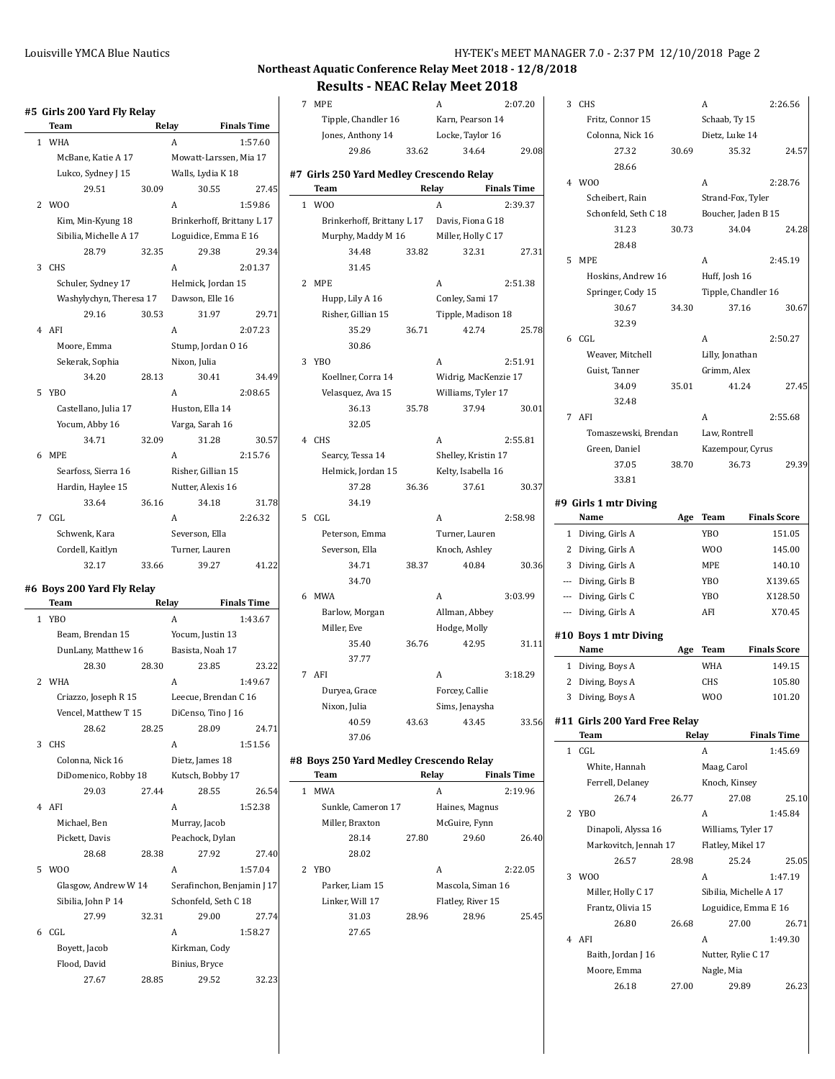$\mathbb{Z}$ 

# **Northeast Aquatic Conference Relay Meet 2018 - 12/8/2018**

**Results - NEAC Relay Meet 2018**

|                | Team                          |       | Relay                            | <b>Finals Time</b>               |
|----------------|-------------------------------|-------|----------------------------------|----------------------------------|
| 1              | <b>WHA</b>                    |       | A                                | 1:57.60                          |
|                | McBane, Katie A 17            |       | Mowatt-Larssen, Mia 17           |                                  |
|                | Lukco, Sydney J 15            |       | Walls, Lydia K 18                |                                  |
|                | 29.51                         | 30.09 | 30.55                            | 27.45                            |
| 2              | W00                           |       | A                                | 1:59.86                          |
|                | Kim, Min-Kyung 18             |       | Brinkerhoff, Brittany L 17       |                                  |
|                | Sibilia, Michelle A 17        |       | Loguidice, Emma E 16             |                                  |
|                | 28.79                         | 32.35 | 29.38                            | 29.34                            |
| 3              | <b>CHS</b>                    |       | A                                | 2:01.37                          |
|                | Schuler, Sydney 17            |       | Helmick, Jordan 15               |                                  |
|                | Washylychyn, Theresa 17       |       | Dawson, Elle 16                  |                                  |
|                | 29.16                         | 30.53 | 31.97                            | 29.71                            |
| 4              | AFI                           |       | A                                | 2:07.23                          |
|                | Moore, Emma                   |       | Stump, Jordan 0 16               |                                  |
|                | Sekerak, Sophia               |       | Nixon, Julia                     |                                  |
|                | 34.20                         | 28.13 | 30.41                            | 34.49                            |
| 5              | YB <sub>O</sub>               |       | A                                | 2:08.65                          |
|                | Castellano, Julia 17          |       | Huston, Ella 14                  |                                  |
|                | Yocum, Abby 16                |       | Varga, Sarah 16                  |                                  |
|                | 34.71                         | 32.09 | 31.28                            | 30.57                            |
| 6              | <b>MPE</b>                    |       | A                                | 2:15.76                          |
|                | Searfoss, Sierra 16           |       | Risher, Gillian 15               |                                  |
|                | Hardin, Haylee 15             |       | Nutter, Alexis 16                |                                  |
|                | 33.64                         | 36.16 | 34.18                            | 31.78                            |
| 7              | CGL                           |       | A                                | 2:26.32                          |
|                | Schwenk, Kara                 |       | Severson, Ella                   |                                  |
|                | Cordell, Kaitlyn              |       | Turner, Lauren                   |                                  |
|                | 32.17                         | 33.66 | 39.27                            | 41.22                            |
|                |                               |       |                                  |                                  |
|                |                               |       |                                  |                                  |
|                | #6 Boys 200 Yard Fly Relay    |       |                                  |                                  |
|                | Team                          |       | Relay                            | <b>Finals Time</b>               |
| $\mathbf{1}$   | YB <sub>O</sub>               |       | A                                | 1:43.67                          |
|                | Beam, Brendan 15              |       | Yocum, Justin 13                 |                                  |
|                | DunLany, Matthew 16           |       | Basista, Noah 17                 |                                  |
|                | 28.30                         | 28.30 | 23.85                            | 23.22                            |
|                | <b>WHA</b>                    |       | A                                | 1:49.67                          |
| $\overline{2}$ | Criazzo, Joseph R 15          |       | Leecue, Brendan C 16             |                                  |
|                | Vencel, Matthew T 15          |       | DiCenso, Tino J 16               |                                  |
|                | 28.62                         | 28.25 | 28.09                            |                                  |
| 3              | <b>CHS</b>                    |       | A                                | 1:51.56                          |
|                | Colonna, Nick 16              |       | Dietz, James 18                  |                                  |
|                | DiDomenico, Robby 18          |       | Kutsch, Bobby 17                 |                                  |
|                | 29.03                         | 27.44 | 28.55                            |                                  |
|                | 4 AFI                         |       | A                                | 1:52.38                          |
|                | Michael, Ben                  |       |                                  |                                  |
|                | Pickett, Davis                |       | Murray, Jacob<br>Peachock, Dylan |                                  |
|                |                               |       |                                  |                                  |
|                | 28.68                         | 28.38 | 27.92                            |                                  |
| 5              | W <sub>0</sub>                |       | A                                | 1:57.04                          |
|                | Glasgow, Andrew W 14          |       | Serafinchon, Benjamin J 17       |                                  |
|                | Sibilia, John P 14            |       | Schonfeld, Seth C 18             |                                  |
|                | 27.99                         | 32.31 | 29.00                            |                                  |
| 6              | CGL                           |       | A                                | 1:58.27                          |
|                | Boyett, Jacob<br>Flood, David |       | Kirkman, Cody<br>Binius, Bryce   | 24.71<br>26.54<br>27.40<br>27.74 |

|                    |                                                                                                                                              |                                                                      | 2:07.20                                                                                                                                                                                                                               |
|--------------------|----------------------------------------------------------------------------------------------------------------------------------------------|----------------------------------------------------------------------|---------------------------------------------------------------------------------------------------------------------------------------------------------------------------------------------------------------------------------------|
|                    |                                                                                                                                              |                                                                      |                                                                                                                                                                                                                                       |
|                    |                                                                                                                                              |                                                                      |                                                                                                                                                                                                                                       |
|                    |                                                                                                                                              |                                                                      | 29.08                                                                                                                                                                                                                                 |
|                    |                                                                                                                                              |                                                                      |                                                                                                                                                                                                                                       |
| Team               |                                                                                                                                              |                                                                      | <b>Finals Time</b>                                                                                                                                                                                                                    |
| W <sub>0</sub>     |                                                                                                                                              | A                                                                    | 2:39.37                                                                                                                                                                                                                               |
|                    |                                                                                                                                              |                                                                      |                                                                                                                                                                                                                                       |
|                    |                                                                                                                                              | Miller, Holly C 17                                                   |                                                                                                                                                                                                                                       |
| 34.48              | 33.82                                                                                                                                        | 32.31                                                                | 27.31                                                                                                                                                                                                                                 |
| 31.45              |                                                                                                                                              |                                                                      |                                                                                                                                                                                                                                       |
| 2 MPE              |                                                                                                                                              | A                                                                    | 2:51.38                                                                                                                                                                                                                               |
| Hupp, Lily A 16    |                                                                                                                                              | Conley, Sami 17                                                      |                                                                                                                                                                                                                                       |
| Risher, Gillian 15 |                                                                                                                                              | Tipple, Madison 18                                                   |                                                                                                                                                                                                                                       |
| 35.29              | 36.71                                                                                                                                        | 42.74                                                                | 25.78                                                                                                                                                                                                                                 |
| 30.86              |                                                                                                                                              |                                                                      |                                                                                                                                                                                                                                       |
| 3 YBO              |                                                                                                                                              | A                                                                    | 2:51.91                                                                                                                                                                                                                               |
| Koellner, Corra 14 |                                                                                                                                              | Widrig, MacKenzie 17                                                 |                                                                                                                                                                                                                                       |
| Velasquez, Ava 15  |                                                                                                                                              | Williams, Tyler 17                                                   |                                                                                                                                                                                                                                       |
| 36.13              | 35.78                                                                                                                                        | 37.94                                                                | 30.01                                                                                                                                                                                                                                 |
| 32.05              |                                                                                                                                              |                                                                      |                                                                                                                                                                                                                                       |
| 4 CHS              |                                                                                                                                              | A                                                                    | 2:55.81                                                                                                                                                                                                                               |
| Searcy, Tessa 14   |                                                                                                                                              | Shelley, Kristin 17                                                  |                                                                                                                                                                                                                                       |
| Helmick, Jordan 15 |                                                                                                                                              | Kelty, Isabella 16                                                   |                                                                                                                                                                                                                                       |
| 37.28              | 36.36                                                                                                                                        | 37.61                                                                | 30.37                                                                                                                                                                                                                                 |
| 34.19              |                                                                                                                                              |                                                                      |                                                                                                                                                                                                                                       |
| CGL                |                                                                                                                                              | A                                                                    | 2:58.98                                                                                                                                                                                                                               |
| Peterson, Emma     |                                                                                                                                              | Turner, Lauren                                                       |                                                                                                                                                                                                                                       |
|                    |                                                                                                                                              |                                                                      |                                                                                                                                                                                                                                       |
|                    |                                                                                                                                              |                                                                      | 30.36                                                                                                                                                                                                                                 |
|                    |                                                                                                                                              |                                                                      |                                                                                                                                                                                                                                       |
|                    |                                                                                                                                              |                                                                      | 3:03.99                                                                                                                                                                                                                               |
|                    |                                                                                                                                              |                                                                      |                                                                                                                                                                                                                                       |
|                    |                                                                                                                                              |                                                                      |                                                                                                                                                                                                                                       |
|                    |                                                                                                                                              |                                                                      | 31.11                                                                                                                                                                                                                                 |
|                    |                                                                                                                                              |                                                                      |                                                                                                                                                                                                                                       |
|                    |                                                                                                                                              |                                                                      | 3:18.29                                                                                                                                                                                                                               |
| Duryea, Grace      |                                                                                                                                              | Forcey, Callie                                                       |                                                                                                                                                                                                                                       |
|                    |                                                                                                                                              | Sims, Jenaysha                                                       |                                                                                                                                                                                                                                       |
| Nixon, Julia       |                                                                                                                                              |                                                                      |                                                                                                                                                                                                                                       |
| 40.59<br>37.06     | 43.63                                                                                                                                        | 43.45                                                                | 33.56                                                                                                                                                                                                                                 |
|                    | 7 MPE<br>Jones, Anthony 14<br>29.86<br>Severson, Ella<br>34.71<br>34.70<br>6 MWA<br>Barlow, Morgan<br>Miller, Eve<br>35.40<br>37.77<br>7 AFI | Tipple, Chandler 16<br>33.62<br>Murphy, Maddy M 16<br>38.37<br>36.76 | A<br>Karn, Pearson 14<br>Locke, Taylor 16<br>34.64<br>#7 Girls 250 Yard Medley Crescendo Relay<br>Relay<br>Brinkerhoff, Brittany L 17 Davis, Fiona G 18<br>Knoch, Ashley<br>40.84<br>A<br>Allman, Abbey<br>Hodge, Molly<br>42.95<br>A |

|   | Team               | Relay |                   | <b>Finals Time</b> |
|---|--------------------|-------|-------------------|--------------------|
| 1 | <b>MWA</b>         |       | A                 | 2:19.96            |
|   | Sunkle, Cameron 17 |       | Haines, Magnus    |                    |
|   | Miller, Braxton    |       | McGuire, Fynn     |                    |
|   | 28.14              | 27.80 | 29.60             | 26.40              |
|   | 28.02              |       |                   |                    |
| 2 | YB <sub>O</sub>    |       | А                 | 2:22.05            |
|   | Parker, Liam 15    |       | Mascola, Siman 16 |                    |
|   | Linker. Will 17    |       | Flatley, River 15 |                    |
|   | 31.03              | 28.96 | 28.96             | 25.45              |
|   | 27.65              |       |                   |                    |

|                | CHS                              |       | A                      | 2:26.56             |
|----------------|----------------------------------|-------|------------------------|---------------------|
|                | Fritz, Connor 15                 |       | Schaab, Ty 15          |                     |
|                | Colonna, Nick 16                 |       | Dietz, Luke 14         |                     |
|                | 27.32                            | 30.69 | 35.32                  | 24.57               |
|                | 28.66                            |       |                        |                     |
|                | 4 WOO                            |       | A                      | 2:28.76             |
|                | Scheibert, Rain                  |       | Strand-Fox, Tyler      |                     |
|                | Schonfeld, Seth C 18             |       | Boucher, Jaden B 15    |                     |
|                | 31.23                            | 30.73 | 34.04                  | 24.28               |
|                | 28.48                            |       |                        |                     |
| 5              | <b>MPE</b>                       |       | A                      | 2:45.19             |
|                | Hoskins, Andrew 16               |       | Huff, Josh 16          |                     |
|                | Springer, Cody 15                |       | Tipple, Chandler 16    |                     |
|                | 30.67                            | 34.30 | 37.16                  | 30.67               |
|                | 32.39                            |       |                        |                     |
|                | 6 CGL                            |       | A                      | 2:50.27             |
|                | Weaver, Mitchell                 |       | Lilly, Jonathan        |                     |
|                | Guist, Tanner                    |       | Grimm, Alex            |                     |
|                | 34.09                            | 35.01 | 41.24                  | 27.45               |
|                | 32.48                            |       |                        |                     |
| 7              | AFI                              |       | A                      | 2:55.68             |
|                | Tomaszewski, Brendan             |       | Law, Rontrell          |                     |
|                | Green, Daniel                    |       | Kazempour, Cyrus       |                     |
|                | 37.05                            | 38.70 | 36.73                  | 29.39               |
|                | 33.81                            |       |                        |                     |
|                |                                  |       |                        |                     |
|                | #9 Girls 1 mtr Diving            |       |                        |                     |
|                | Name                             | Age   | Team                   | <b>Finals Score</b> |
| $\mathbf{1}$   | Diving, Girls A                  |       | YBO                    | 151.05              |
|                | 2 Diving, Girls A                |       | W <sub>0</sub>         | 145.00              |
|                | 3 Diving, Girls A                |       | MPE                    | 140.10              |
|                | --- Diving, Girls B              |       | YBO                    | X139.65             |
|                | --- Diving, Girls C              |       |                        |                     |
|                |                                  |       | YB <sub>O</sub>        | X128.50             |
|                | --- Diving, Girls A              |       | AFI                    | X70.45              |
|                |                                  |       |                        |                     |
|                | #10 Boys 1 mtr Diving<br>Name    | Age   | Team                   | <b>Finals Score</b> |
| $\mathbf{1}$   | Diving, Boys A                   |       | WHA                    | 149.15              |
| 2              |                                  |       | CHS                    | 105.80              |
| 3              | Diving, Boys A<br>Diving, Boys A |       | W <sub>0</sub>         | 101.20              |
|                |                                  |       |                        |                     |
|                | #11  Girls 200 Yard Free Relay   |       |                        |                     |
|                | <b>Team</b>                      | Relay |                        | <b>Finals Time</b>  |
| 1              | CGL                              |       | A                      | 1:45.69             |
|                | White, Hannah                    |       | Maag, Carol            |                     |
|                | Ferrell, Delaney                 |       | Knoch, Kinsey          |                     |
|                | 26.74                            | 26.77 | 27.08                  | 25.10               |
| 2              | <b>YBO</b>                       |       | A                      | 1:45.84             |
|                | Dinapoli, Alyssa 16              |       | Williams, Tyler 17     |                     |
|                | Markovitch, Jennah 17            |       | Flatley, Mikel 17      |                     |
|                | 26.57                            | 28.98 | 25.24                  | 25.05               |
| 3              | W <sub>0</sub>                   |       | A                      | 1:47.19             |
|                | Miller, Holly C 17               |       | Sibilia, Michelle A 17 |                     |
|                | Frantz, Olivia 15                |       | Loguidice, Emma E 16   |                     |
|                | 26.80                            | 26.68 | 27.00                  | 26.71               |
| $\overline{4}$ | AFI                              |       | A                      | 1:49.30             |
|                | Baith, Jordan J 16               |       | Nutter, Rylie C 17     |                     |
|                | Moore, Emma                      |       | Nagle, Mia             |                     |
|                | 26.18                            | 27.00 | 29.89                  | 26.23               |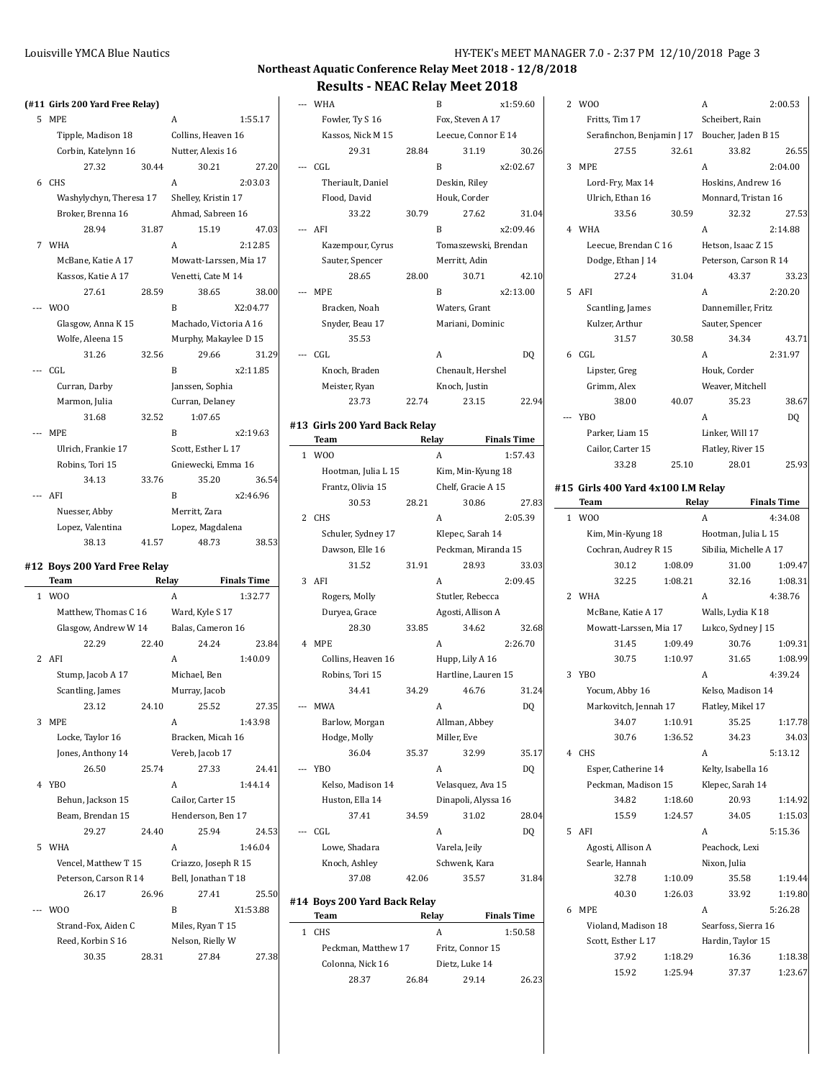### **Northeast Aquatic Conference Relay Meet 2018 - 12/8/2018 Results - NEAC Relay Meet 2018**

## **(#11 Girls 200 Yard Free Relay)** 5 MPE A 1:55.17 Tipple, Madison 18 Collins, Heaven 16 Corbin, Katelynn 16 Nutter, Alexis 16 27.32 30.44 30.21 27.20 6 CHS A 2:03.03 Washylychyn, Theresa 17 Shelley, Kristin 17 Broker, Brenna 16 Ahmad, Sabreen 16 28.94 31.87 15.19 47.03 7 WHA 2:12.85 McBane, Katie A 17 Mowatt-Larssen, Mia 17 Kassos, Katie A 17 Venetti, Cate M 14 27.61 28.59 38.65 38.00 --- WOO B X2:04.77 Glasgow, Anna K 15 Machado, Victoria A 16 Wolfe, Aleena 15 Murphy, Makaylee D 15 31.26 32.56 29.66 31.29 --- CGL B x2:11.85 Curran, Darby Janssen, Sophia Marmon, Julia Curran, Delaney 31.68 32.52 1:07.65 --- MPE B x2:19.63 Ulrich, Frankie 17 Scott, Esther L 17 Robins, Tori 15 Gniewecki, Emma 16 34.13 33.76 35.20 36.54 -- AFI B x2:46.96 Nuesser, Abby Merritt, Zara Lopez, Valentina Lopez, Magdalena 38.13 41.57 48.73 38.53 **#12 Boys 200 Yard Free Relay Team Relay Finals Time** 1 WOO A 1:32.77 Matthew, Thomas C 16 Ward, Kyle S 17 Glasgow, Andrew W 14 Balas, Cameron 16 22.29 22.40 24.24 23.84 2 AFI A 1:40.09 Stump, Jacob A 17 Michael, Ben Scantling, James Murray, Jacob 23.12 24.10 25.52 27.35 3 MPE A 1:43.98 Locke, Taylor 16 Bracken, Micah 16 Jones, Anthony 14 Vereb, Jacob 17 26.50 25.74 27.33 24.41 4 YBO A 1:44.14 Behun, Jackson 15 Cailor, Carter 15 Beam, Brendan 15 Henderson, Ben 17 29.27 24.40 25.94 24.53

5 WHA A 1:46.04 Vencel, Matthew T 15 Criazzo, Joseph R 15 Peterson, Carson R 14 Bell, Jonathan T 18 26.17 26.96 27.41 25.50 -- WOO B X1:53.88 Strand-Fox, Aiden C Miles, Ryan T 15 Reed, Korbin S 16 Nelson, Rielly W 30.35 28.31 27.84 27.38

|                | RESUITS - NEAL REIAV MEET ZUT8         |       |                      |                    |
|----------------|----------------------------------------|-------|----------------------|--------------------|
|                | WHA                                    |       | B                    | x1:59.60           |
|                | Fowler, Ty S 16                        |       | Fox, Steven A 17     |                    |
|                | Kassos, Nick M 15                      |       | Leecue, Connor E 14  |                    |
|                | 29.31                                  | 28.84 | 31.19                | 30.26              |
|                | CGL                                    |       | B                    | x2:02.67           |
|                | Theriault, Daniel                      |       | Deskin, Riley        |                    |
|                | Flood, David                           |       | Houk, Corder         |                    |
|                | 33.22                                  | 30.79 | 27.62                | 31.04              |
|                | --- AFI                                |       | B                    | x2:09.46           |
|                | Kazempour, Cyrus                       |       | Tomaszewski, Brendan |                    |
|                | Sauter, Spencer                        |       | Merritt, Adin        |                    |
|                | 28.65                                  | 28.00 | 30.71                | 42.10              |
|                | --- MPE                                |       | B                    | x2:13.00           |
|                | Bracken, Noah                          |       | Waters, Grant        |                    |
|                | Snyder, Beau 17                        |       | Mariani, Dominic     |                    |
|                | 35.53                                  |       |                      |                    |
|                | CGL                                    |       | A                    | DQ                 |
|                | Knoch, Braden                          |       | Chenault, Hershel    |                    |
|                | Meister, Ryan                          |       | Knoch, Justin        |                    |
|                | 23.73                                  | 22.74 | 23.15                | 22.94              |
|                |                                        |       |                      |                    |
|                | #13  Girls 200 Yard Back Relay<br>Team |       | Relay                | <b>Finals Time</b> |
| $\mathbf{1}$   | W <sub>0</sub>                         |       | А                    | 1:57.43            |
|                | Hootman, Julia L 15                    |       | Kim, Min-Kyung 18    |                    |
|                | Frantz, Olivia 15                      |       | Chelf, Gracie A 15   |                    |
|                | 30.53                                  | 28.21 | 30.86                | 27.83              |
| 2              | <b>CHS</b>                             |       | A                    | 2:05.39            |
|                | Schuler, Sydney 17                     |       | Klepec, Sarah 14     |                    |
|                | Dawson, Elle 16                        |       | Peckman, Miranda 15  |                    |
|                | 31.52                                  | 31.91 | 28.93                | 33.03              |
| 3              | AFI                                    |       | A                    | 2:09.45            |
|                | Rogers, Molly                          |       | Stutler, Rebecca     |                    |
|                | Duryea, Grace                          |       | Agosti, Allison A    |                    |
|                | 28.30                                  | 33.85 | 34.62                | 32.68              |
| 4              | <b>MPE</b>                             |       | A                    | 2:26.70            |
|                | Collins, Heaven 16                     |       | Hupp, Lily A 16      |                    |
|                | Robins, Tori 15                        |       | Hartline, Lauren 15  |                    |
|                | 34.41                                  | 34.29 | 46.76                | 31.24              |
|                | MWA                                    |       | A                    | DQ                 |
|                | Barlow, Morgan                         |       | Allman, Abbey        |                    |
|                | Hodge, Molly                           |       | Miller, Eve          |                    |
|                | 36.04                                  | 35.37 | 32.99                | 35.17              |
| $\overline{a}$ | <b>YBO</b>                             |       | A                    | DQ                 |
|                | Kelso, Madison 14                      |       | Velasquez, Ava 15    |                    |
|                | Huston, Ella 14                        |       | Dinapoli, Alyssa 16  |                    |
|                | 37.41                                  | 34.59 | 31.02                | 28.04              |
| $\overline{a}$ | CGL                                    |       | A                    | DQ                 |
|                | Lowe, Shadara                          |       | Varela, Jeily        |                    |
|                | Knoch, Ashley                          |       | Schwenk, Kara        |                    |
|                | 37.08                                  | 42.06 | 35.57                | 31.84              |
|                |                                        |       |                      |                    |

### **#14 Boys 200 Yard Back Relay**

 $\overline{\phantom{a}}$ 

| Team                | Relay            | <b>Finals Time</b> |
|---------------------|------------------|--------------------|
| CHS.                | А                | 1:50.58            |
| Peckman, Matthew 17 | Fritz, Connor 15 |                    |
| Colonna, Nick 16    | Dietz, Luke 14   |                    |
| 28.37               | 26.84<br>2914    | 26.23              |

| 2 | W <sub>0</sub>                                 |       | А                     | 2:00.53 |
|---|------------------------------------------------|-------|-----------------------|---------|
|   | Fritts, Tim 17                                 |       | Scheibert, Rain       |         |
|   | Serafinchon, Benjamin J 17 Boucher, Jaden B 15 |       |                       |         |
|   | 27.55                                          | 32.61 | 33.82                 | 26.55   |
| 3 | <b>MPE</b>                                     |       | A                     | 2:04.00 |
|   | Lord-Fry, Max 14                               |       | Hoskins, Andrew 16    |         |
|   | Ulrich, Ethan 16                               |       | Monnard, Tristan 16   |         |
|   | 33.56                                          | 30.59 | 32.32                 | 27.53   |
| 4 | WHA                                            |       | A                     | 2:14.88 |
|   | Leecue, Brendan C 16                           |       | Hetson, Isaac Z 15    |         |
|   | Dodge, Ethan J 14                              |       | Peterson, Carson R 14 |         |
|   | 27.24                                          | 31.04 | 43.37                 | 33.23   |
| 5 | AFI                                            |       | A                     | 2:20.20 |
|   | Scantling, James                               |       | Dannemiller, Fritz    |         |
|   | Kulzer, Arthur                                 |       | Sauter, Spencer       |         |
|   | 31.57                                          | 30.58 | 34.34                 | 43.71   |
| 6 | CGL                                            |       | A                     | 2:31.97 |
|   | Lipster, Greg                                  |       | Houk, Corder          |         |
|   | Grimm, Alex                                    |       | Weaver, Mitchell      |         |
|   | 38.00                                          | 40.07 | 35.23                 | 38.67   |
|   | YB <sub>0</sub>                                |       | A                     | DO      |
|   | Parker, Liam 15                                |       | Linker, Will 17       |         |
|   | Cailor, Carter 15                              |       | Flatley, River 15     |         |
|   | 33.28                                          | 25.10 | 28.01                 | 25.93   |

#### **#15 Girls 400 Yard 4x100 I.M Relay**

|    | Team            |                        | Relay   |                        | <b>Finals Time</b> |
|----|-----------------|------------------------|---------|------------------------|--------------------|
| 1  | W <sub>00</sub> |                        |         | A                      | 4:34.08            |
|    |                 | Kim, Min-Kyung 18      |         | Hootman, Julia L 15    |                    |
|    |                 | Cochran, Audrey R 15   |         | Sibilia, Michelle A 17 |                    |
|    |                 | 30.12                  | 1:08.09 | 31.00                  | 1:09.47            |
|    |                 | 32.25                  | 1:08.21 | 32.16                  | 1:08.31            |
| 2  | <b>WHA</b>      |                        |         | A                      | 4:38.76            |
|    |                 | McBane, Katie A 17     |         | Walls, Lydia K 18      |                    |
|    |                 | Mowatt-Larssen, Mia 17 |         | Lukco, Sydney J 15     |                    |
|    |                 | 31.45                  | 1:09.49 | 30.76                  | 1:09.31            |
|    |                 | 30.75                  | 1:10.97 | 31.65                  | 1:08.99            |
| 3  | YB <sub>0</sub> |                        |         | A                      | 4:39.24            |
|    |                 | Yocum, Abby 16         |         | Kelso, Madison 14      |                    |
|    |                 | Markovitch, Jennah 17  |         | Flatley, Mikel 17      |                    |
|    |                 | 34.07                  | 1:10.91 | 35.25                  | 1:17.78            |
|    |                 | 30.76                  | 1:36.52 | 34.23                  | 34.03              |
| 4  | <b>CHS</b>      |                        |         | A                      | 5:13.12            |
|    |                 | Esper, Catherine 14    |         | Kelty, Isabella 16     |                    |
|    |                 | Peckman, Madison 15    |         | Klepec, Sarah 14       |                    |
|    |                 | 34.82                  | 1:18.60 | 20.93                  | 1:14.92            |
|    |                 | 15.59                  | 1:24.57 | 34.05                  | 1:15.03            |
| 5. | AFI             |                        |         | A                      | 5:15.36            |
|    |                 | Agosti, Allison A      |         | Peachock, Lexi         |                    |
|    |                 | Searle, Hannah         |         | Nixon, Julia           |                    |
|    |                 | 32.78                  | 1:10.09 | 35.58                  | 1:19.44            |
|    |                 | 40.30                  | 1:26.03 | 33.92                  | 1:19.80            |
| 6  | <b>MPE</b>      |                        |         | A                      | 5:26.28            |
|    |                 | Violand, Madison 18    |         | Searfoss, Sierra 16    |                    |
|    |                 | Scott, Esther L 17     |         | Hardin, Taylor 15      |                    |
|    |                 | 37.92                  | 1:18.29 | 16.36                  | 1:18.38            |
|    |                 | 15.92                  | 1:25.94 | 37.37                  | 1:23.67            |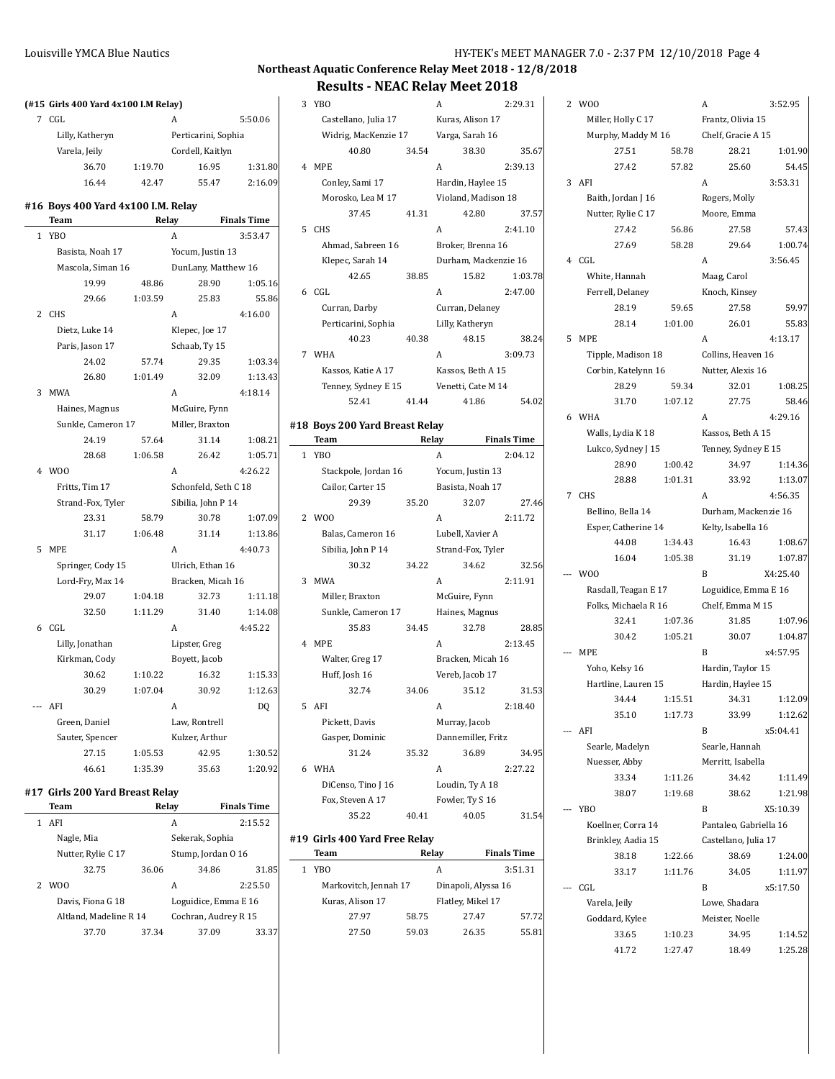## **Northeast Aquatic Conference Relay Meet 2018 - 12/8/2018 Results - NEAC Relay Meet 2018**

# **(#15 Girls 400 Yard 4x100 I.M Relay)**

| Team                               | Relay   |                     | <b>Finals Time</b> |
|------------------------------------|---------|---------------------|--------------------|
| #16 Boys 400 Yard 4x100 I.M. Relay |         |                     |                    |
| 16.44                              | 42.47   | 55.47               | 2:16.09            |
| 36.70                              | 1:19.70 | 16.95               | 1:31.80            |
| Varela, Jeily                      |         | Cordell, Kaitlyn    |                    |
| Lilly, Katheryn                    |         | Perticarini, Sophia |                    |
| CGL.                               | А       |                     | 5:50.06            |

| 1 | <b>YBO</b>     |                    |         | A                    | 3:53.47 |
|---|----------------|--------------------|---------|----------------------|---------|
|   |                | Basista, Noah 17   |         | Yocum, Justin 13     |         |
|   |                | Mascola, Siman 16  |         | DunLany, Matthew 16  |         |
|   |                | 19.99              | 48.86   | 28.90                | 1:05.16 |
|   |                | 29.66              | 1:03.59 | 25.83                | 55.86   |
| 2 | <b>CHS</b>     |                    |         | A                    | 4:16.00 |
|   |                | Dietz, Luke 14     |         | Klepec, Joe 17       |         |
|   |                | Paris, Jason 17    |         | Schaab, Ty 15        |         |
|   |                | 24.02              | 57.74   | 29.35                | 1:03.34 |
|   |                | 26.80              | 1:01.49 | 32.09                | 1:13.43 |
| 3 | <b>MWA</b>     |                    |         | A                    | 4:18.14 |
|   |                | Haines, Magnus     |         | McGuire, Fynn        |         |
|   |                | Sunkle, Cameron 17 |         | Miller, Braxton      |         |
|   |                | 24.19              | 57.64   | 31.14                | 1:08.21 |
|   |                | 28.68              | 1:06.58 | 26.42                | 1:05.71 |
| 4 | W <sub>0</sub> |                    |         | A                    | 4:26.22 |
|   |                | Fritts, Tim 17     |         | Schonfeld, Seth C 18 |         |
|   |                | Strand-Fox, Tyler  |         | Sibilia, John P 14   |         |
|   |                | 23.31              | 58.79   | 30.78                | 1:07.09 |
|   |                | 31.17              | 1:06.48 | 31.14                | 1:13.86 |
| 5 | <b>MPE</b>     |                    |         | A                    | 4:40.73 |
|   |                | Springer, Cody 15  |         | Ulrich, Ethan 16     |         |
|   |                | Lord-Fry, Max 14   |         | Bracken, Micah 16    |         |
|   |                | 29.07              | 1:04.18 | 32.73                | 1:11.18 |
|   |                | 32.50              | 1:11.29 | 31.40                | 1:14.08 |
| 6 | CGL            |                    |         | A                    | 4:45.22 |
|   |                | Lilly, Jonathan    |         | Lipster, Greg        |         |
|   |                | Kirkman, Cody      |         | Boyett, Jacob        |         |
|   |                | 30.62              | 1:10.22 | 16.32                | 1:15.33 |
|   |                | 30.29              | 1:07.04 | 30.92                | 1:12.63 |
|   | AFI            |                    |         | A                    | DQ      |
|   |                | Green, Daniel      |         | Law, Rontrell        |         |
|   |                | Sauter, Spencer    |         | Kulzer, Arthur       |         |
|   |                | 27.15              | 1:05.53 | 42.95                | 1:30.52 |
|   |                | 46.61              | 1:35.39 | 35.63                | 1:20.92 |

## **#17 Girls 200 Yard Breast Relay**

|   | Team                   | Relay |                      | <b>Finals Time</b> |
|---|------------------------|-------|----------------------|--------------------|
|   | AFI                    |       | А                    | 2:15.52            |
|   | Nagle, Mia             |       | Sekerak, Sophia      |                    |
|   | Nutter, Rylie C 17     |       | Stump, Jordan 0 16   |                    |
|   | 32.75                  | 36.06 | 34.86                | 31.85              |
| 2 | W <sub>0</sub>         |       | А                    | 2:25.50            |
|   | Davis, Fiona G 18      |       | Loguidice, Emma E 16 |                    |
|   | Altland, Madeline R 14 |       | Cochran, Audrey R 15 |                    |
|   | 37.70                  | 37.34 | 37.09                | 33.37              |

|              | 3 YBO                |       | А                    | 2:29.31 |
|--------------|----------------------|-------|----------------------|---------|
|              | Castellano, Julia 17 |       | Kuras, Alison 17     |         |
|              | Widrig, MacKenzie 17 |       | Varga, Sarah 16      |         |
|              | 40.80                | 34.54 | 38.30                | 35.67   |
| $\mathbf{4}$ | <b>MPE</b>           |       | A                    | 2:39.13 |
|              | Conley, Sami 17      |       | Hardin, Haylee 15    |         |
|              | Morosko, Lea M 17    |       | Violand, Madison 18  |         |
|              | 37.45                | 41.31 | 42.80                | 37.57   |
| 5            | <b>CHS</b>           |       | A                    | 2:41.10 |
|              | Ahmad, Sabreen 16    |       | Broker, Brenna 16    |         |
|              | Klepec, Sarah 14     |       | Durham, Mackenzie 16 |         |
|              | 42.65                | 38.85 | 15.82                | 1:03.78 |
|              | 6 <sub>CGI</sub>     |       | A                    | 2:47.00 |
|              | Curran, Darby        |       | Curran, Delaney      |         |
|              | Perticarini, Sophia  |       | Lilly, Katheryn      |         |
|              | 40.23                | 40.38 | 48.15                | 38.24   |
| 7            | <b>WHA</b>           |       | A                    | 3:09.73 |
|              | Kassos, Katie A 17   |       | Kassos, Beth A 15    |         |
|              | Tenney, Sydney E 15  |       | Venetti, Cate M 14   |         |
|              | 52.41                | 41.44 | 41.86                | 54.02   |
|              |                      |       |                      |         |

### **#18 Boys 200 Yard Breast Relay**

 $\frac{1}{2}$ 

|                | <b>Team</b>          | Relay |                    | <b>Finals Time</b> |
|----------------|----------------------|-------|--------------------|--------------------|
|                | 1 YBO                |       | A                  | 2:04.12            |
|                | Stackpole, Jordan 16 |       | Yocum, Justin 13   |                    |
|                | Cailor, Carter 15    |       | Basista, Noah 17   |                    |
|                | 29.39                | 35.20 | 32.07              | 27.46              |
| $\overline{2}$ | W <sub>0</sub>       |       | A                  | 2:11.72            |
|                | Balas, Cameron 16    |       | Lubell, Xavier A   |                    |
|                | Sibilia, John P 14   |       | Strand-Fox, Tyler  |                    |
|                | 30.32                | 34.22 | 34.62              | 32.56              |
| 3              | <b>MWA</b>           |       | A                  | 2:11.91            |
|                | Miller, Braxton      |       | McGuire, Fynn      |                    |
|                | Sunkle, Cameron 17   |       | Haines, Magnus     |                    |
|                | 35.83                | 34.45 | 32.78              | 28.85              |
| 4              | <b>MPE</b>           |       | A                  | 2:13.45            |
|                | Walter, Greg 17      |       | Bracken, Micah 16  |                    |
|                | Huff, Josh 16        |       | Vereb, Jacob 17    |                    |
|                | 32.74                | 34.06 | 35.12              | 31.53              |
|                | 5 AFI                |       | A                  | 2:18.40            |
|                | Pickett, Davis       |       | Murray, Jacob      |                    |
|                | Gasper, Dominic      |       | Dannemiller, Fritz |                    |
|                | 31.24                | 35.32 | 36.89              | 34.95              |
| 6              | <b>WHA</b>           |       | A                  | 2:27.22            |
|                | DiCenso, Tino J 16   |       | Loudin, Ty A 18    |                    |
|                | Fox, Steven A 17     |       | Fowler, Ty S 16    |                    |
|                | 35.22                | 40.41 | 40.05              | 31.54              |

## **#19 Girls 400 Yard Free Relay**

|    | Team                  |       | Relay               | <b>Finals Time</b> |
|----|-----------------------|-------|---------------------|--------------------|
| 1. | YBO                   |       | A                   | 3:51.31            |
|    | Markovitch, Jennah 17 |       | Dinapoli, Alyssa 16 |                    |
|    | Kuras, Alison 17      |       | Flatley, Mikel 17   |                    |
|    | 27.97                 | 58.75 | 27.47               | 57.72              |
|    | 27.50                 | 59.03 | 26.35               | 55.81              |

| 2 | W <sub>0</sub>       |         | A                      | 3:52.95  |  |
|---|----------------------|---------|------------------------|----------|--|
|   | Miller, Holly C 17   |         | Frantz, Olivia 15      |          |  |
|   | Murphy, Maddy M 16   |         | Chelf, Gracie A 15     |          |  |
|   | 27.51                | 58.78   | 28.21                  | 1:01.90  |  |
|   | 27.42                | 57.82   | 25.60                  | 54.45    |  |
| 3 | AFI                  |         | A                      | 3:53.31  |  |
|   | Baith, Jordan J 16   |         | Rogers, Molly          |          |  |
|   |                      |         |                        |          |  |
|   | Nutter, Rylie C 17   |         | Moore, Emma            |          |  |
|   | 27.42                | 56.86   | 27.58                  | 57.43    |  |
|   | 27.69                | 58.28   | 29.64                  | 1:00.74  |  |
| 4 | CGL                  |         | A                      | 3:56.45  |  |
|   | White, Hannah        |         | Maag, Carol            |          |  |
|   | Ferrell, Delaney     |         | Knoch, Kinsey          |          |  |
|   | 28.19                | 59.65   | 27.58                  | 59.97    |  |
|   | 28.14                | 1:01.00 | 26.01                  | 55.83    |  |
| 5 | <b>MPE</b>           |         | A                      | 4:13.17  |  |
|   | Tipple, Madison 18   |         | Collins, Heaven 16     |          |  |
|   | Corbin, Katelynn 16  |         | Nutter, Alexis 16      |          |  |
|   | 28.29                | 59.34   | 32.01                  | 1:08.25  |  |
|   | 31.70                | 1:07.12 | 27.75                  | 58.46    |  |
| 6 | WHA                  |         | A                      | 4:29.16  |  |
|   | Walls, Lydia K 18    |         | Kassos, Beth A 15      |          |  |
|   | Lukco, Sydney J 15   |         | Tenney, Sydney E 15    |          |  |
|   | 28.90                | 1:00.42 | 34.97                  | 1:14.36  |  |
|   | 28.88                | 1:01.31 | 33.92                  | 1:13.07  |  |
|   |                      |         |                        | 4:56.35  |  |
| 7 | <b>CHS</b>           |         | A                      |          |  |
|   | Bellino, Bella 14    |         | Durham, Mackenzie 16   |          |  |
|   | Esper, Catherine 14  |         | Kelty, Isabella 16     |          |  |
|   | 44.08                | 1:34.43 | 16.43                  | 1:08.67  |  |
|   | 16.04                | 1:05.38 | 31.19                  | 1:07.87  |  |
|   | W <sub>0</sub>       |         | B                      | X4:25.40 |  |
|   | Rasdall, Teagan E 17 |         | Loguidice, Emma E 16   |          |  |
|   | Folks, Michaela R 16 |         | Chelf, Emma M 15       |          |  |
|   | 32.41                | 1:07.36 | 31.85                  | 1:07.96  |  |
|   | 30.42                | 1:05.21 | 30.07                  | 1:04.87  |  |
|   | MPE                  |         | B                      | x4:57.95 |  |
|   | Yoho, Kelsy 16       |         | Hardin, Taylor 15      |          |  |
|   | Hartline, Lauren 15  |         | Hardin, Haylee 15      |          |  |
|   | 34.44                | 1:15.51 | 34.31                  | 1:12.09  |  |
|   | 35.10                | 1:17.73 | 33.99                  | 1:12.62  |  |
|   | AFI                  |         | B                      | x5:04.41 |  |
|   | Searle, Madelyn      |         | Searle, Hannah         |          |  |
|   | Nuesser, Abby        |         | Merritt, Isabella      |          |  |
|   | 33.34                | 1:11.26 | 34.42                  | 1:11.49  |  |
|   | 38.07                | 1:19.68 | 38.62                  | 1:21.98  |  |
|   | YB <sub>O</sub>      |         | B                      | X5:10.39 |  |
|   | Koellner, Corra 14   |         | Pantaleo, Gabriella 16 |          |  |
|   | Brinkley, Aadia 15   |         | Castellano, Julia 17   |          |  |
|   |                      |         |                        |          |  |
|   | 38.18                | 1:22.66 | 38.69                  | 1:24.00  |  |
|   | 33.17                | 1:11.76 | 34.05                  | 1:11.97  |  |
|   | CGL                  |         | B                      | x5:17.50 |  |
|   | Varela, Jeily        |         | Lowe, Shadara          |          |  |
|   | Goddard, Kylee       |         | Meister, Noelle        |          |  |
|   | 33.65                | 1:10.23 | 34.95                  | 1:14.52  |  |
|   | 41.72                | 1:27.47 | 18.49                  | 1:25.28  |  |